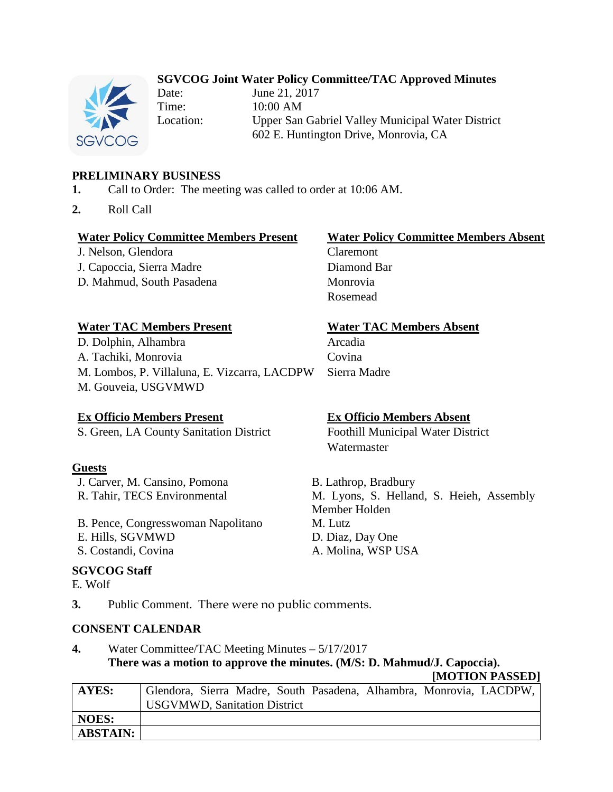# **SGVCOG Joint Water Policy Committee/TAC Approved Minutes**



Date: June 21, 2017 Time: 10:00 AM Location: Upper San Gabriel Valley Municipal Water District 602 E. Huntington Drive, Monrovia, CA

# **PRELIMINARY BUSINESS**

- **1.** Call to Order: The meeting was called to order at 10:06 AM.
- **2.** Roll Call

## **Water Policy Committee Members Present Water Policy Committee Members Absent**

J. Nelson, Glendora Claremont J. Capoccia, Sierra Madre Diamond Bar D. Mahmud, South Pasadena Monrovia

Rosemead

## **Water TAC Members Present Water TAC Members Absent**

D. Dolphin, Alhambra Arcadia A. Tachiki, Monrovia Covina M. Lombos, P. Villaluna, E. Vizcarra, LACDPW Sierra Madre M. Gouveia, USGVMWD

## **Ex Officio Members Present Ex Officio Members Absent**

S. Green, LA County Sanitation District Foothill Municipal Water District

## **Guests**

J. Carver, M. Cansino, Pomona B. Lathrop, Bradbury

- B. Pence, Congresswoman Napolitano M. Lutz
- E. Hills, SGVMWD D. Diaz, Day One
- 

## **SGVCOG Staff**

E. Wolf

Watermaster

R. Tahir, TECS Environmental M. Lyons, S. Helland, S. Heieh, Assembly Member Holden S. Costandi, Covina A. Molina, WSP USA

**3.** Public Comment. There were no public comments.

## **CONSENT CALENDAR**

# **4.** Water Committee/TAC Meeting Minutes – 5/17/2017 **There was a motion to approve the minutes. (M/S: D. Mahmud/J. Capoccia).**

**[MOTION PASSED] AYES:** Glendora, Sierra Madre, South Pasadena, Alhambra, Monrovia, LACDPW, USGVMWD, Sanitation District **NOES: ABSTAIN:**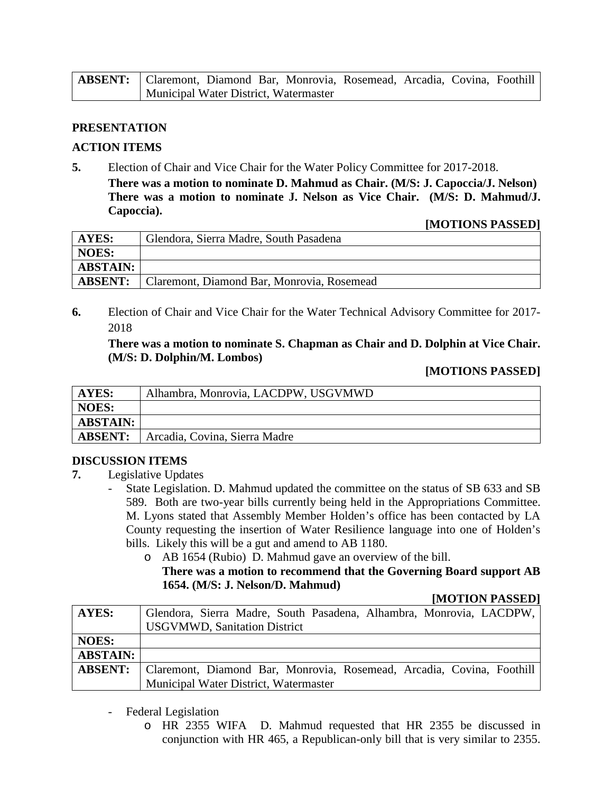| <b>ABSENT:</b>   Claremont, Diamond Bar, Monrovia, Rosemead, Arcadia, Covina, Foothill |                                       |  |  |  |  |
|----------------------------------------------------------------------------------------|---------------------------------------|--|--|--|--|
|                                                                                        | Municipal Water District, Watermaster |  |  |  |  |

### **PRESENTATION**

### **ACTION ITEMS**

**5.** Election of Chair and Vice Chair for the Water Policy Committee for 2017-2018. **There was a motion to nominate D. Mahmud as Chair. (M/S: J. Capoccia/J. Nelson)**

**There was a motion to nominate J. Nelson as Vice Chair. (M/S: D. Mahmud/J. Capoccia).**

#### **[MOTIONS PASSED]**

| AYES:           | Glendora, Sierra Madre, South Pasadena     |  |
|-----------------|--------------------------------------------|--|
| NOES:           |                                            |  |
| <b>ABSTAIN:</b> |                                            |  |
| <b>ABSENT:</b>  | Claremont, Diamond Bar, Monrovia, Rosemead |  |

**6.** Election of Chair and Vice Chair for the Water Technical Advisory Committee for 2017- 2018

## **There was a motion to nominate S. Chapman as Chair and D. Dolphin at Vice Chair. (M/S: D. Dolphin/M. Lombos)**

### **[MOTIONS PASSED]**

| AYES:           | Alhambra, Monrovia, LACDPW, USGVMWD |
|-----------------|-------------------------------------|
| NOES:           |                                     |
| <b>ABSTAIN:</b> |                                     |
| <b>ABSENT:</b>  | Arcadia, Covina, Sierra Madre       |

#### **DISCUSSION ITEMS**

- **7.** Legislative Updates
	- State Legislation. D. Mahmud updated the committee on the status of SB 633 and SB 589. Both are two-year bills currently being held in the Appropriations Committee. M. Lyons stated that Assembly Member Holden's office has been contacted by LA County requesting the insertion of Water Resilience language into one of Holden's bills. Likely this will be a gut and amend to AB 1180.
		- o AB 1654 (Rubio) D. Mahmud gave an overview of the bill.

## **There was a motion to recommend that the Governing Board support AB 1654. (M/S: J. Nelson/D. Mahmud)**

#### **[MOTION PASSED]**

| <b>AYES:</b>    | Glendora, Sierra Madre, South Pasadena, Alhambra, Monrovia, LACDPW,   |
|-----------------|-----------------------------------------------------------------------|
|                 | <b>USGVMWD, Sanitation District</b>                                   |
| <b>NOES:</b>    |                                                                       |
| <b>ABSTAIN:</b> |                                                                       |
| <b>ABSENT:</b>  | Claremont, Diamond Bar, Monrovia, Rosemead, Arcadia, Covina, Foothill |
|                 | Municipal Water District, Watermaster                                 |

- Federal Legislation
	- o HR 2355 WIFA D. Mahmud requested that HR 2355 be discussed in conjunction with HR 465, a Republican-only bill that is very similar to 2355.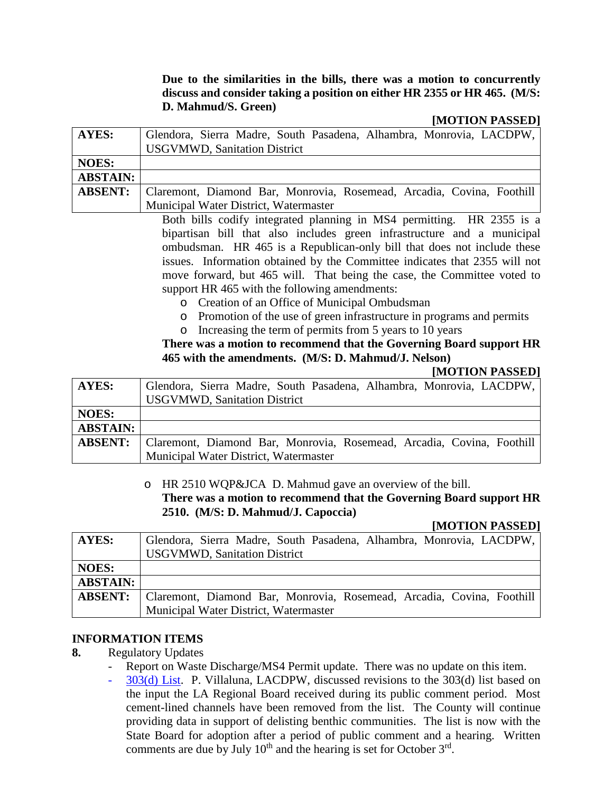## **Due to the similarities in the bills, there was a motion to concurrently discuss and consider taking a position on either HR 2355 or HR 465. (M/S: D. Mahmud/S. Green)**

### **[MOTION PASSED]**

| <b>AYES:</b>    | Glendora, Sierra Madre, South Pasadena, Alhambra, Monrovia, LACDPW,<br><b>USGVMWD, Sanitation District</b> |
|-----------------|------------------------------------------------------------------------------------------------------------|
| <b>NOES:</b>    |                                                                                                            |
| <b>ABSTAIN:</b> |                                                                                                            |
| <b>ABSENT:</b>  | Claremont, Diamond Bar, Monrovia, Rosemead, Arcadia, Covina, Foothill                                      |
|                 | Municipal Water District, Watermaster                                                                      |

Both bills codify integrated planning in MS4 permitting. HR 2355 is a bipartisan bill that also includes green infrastructure and a municipal ombudsman. HR 465 is a Republican-only bill that does not include these issues. Information obtained by the Committee indicates that 2355 will not move forward, but 465 will. That being the case, the Committee voted to support HR 465 with the following amendments:

- o Creation of an Office of Municipal Ombudsman
- o Promotion of the use of green infrastructure in programs and permits
- o Increasing the term of permits from 5 years to 10 years

## **There was a motion to recommend that the Governing Board support HR 465 with the amendments. (M/S: D. Mahmud/J. Nelson)**

#### **[MOTION PASSED]**

| <b>AYES:</b>    | Glendora, Sierra Madre, South Pasadena, Alhambra, Monrovia, LACDPW,<br><b>USGVMWD, Sanitation District</b> |
|-----------------|------------------------------------------------------------------------------------------------------------|
| <b>NOES:</b>    |                                                                                                            |
| <b>ABSTAIN:</b> |                                                                                                            |
| <b>ABSENT:</b>  | Claremont, Diamond Bar, Monrovia, Rosemead, Arcadia, Covina, Foothill                                      |
|                 | Municipal Water District, Watermaster                                                                      |

## o HR 2510 WQP&JCA D. Mahmud gave an overview of the bill. **There was a motion to recommend that the Governing Board support HR 2510. (M/S: D. Mahmud/J. Capoccia)**

## **[MOTION PASSED]**

| <b>AYES:</b>    | Glendora, Sierra Madre, South Pasadena, Alhambra, Monrovia, LACDPW,<br><b>USGVMWD, Sanitation District</b> |
|-----------------|------------------------------------------------------------------------------------------------------------|
| <b>NOES:</b>    |                                                                                                            |
| <b>ABSTAIN:</b> |                                                                                                            |
| <b>ABSENT:</b>  | Claremont, Diamond Bar, Monrovia, Rosemead, Arcadia, Covina, Foothill                                      |
|                 | Municipal Water District, Watermaster                                                                      |

## **INFORMATION ITEMS**

- **8.** Regulatory Updates
	- Report on Waste Discharge/MS4 Permit update. There was no update on this item.
	- 303(d) List. P. Villaluna, LACDPW, discussed revisions to the 303(d) list based on the input the LA Regional Board received during its public comment period. Most cement-lined channels have been removed from the list. The County will continue providing data in support of delisting benthic communities. The list is now with the State Board for adoption after a period of public comment and a hearing. Written comments are due by July  $10<sup>th</sup>$  and the hearing is set for October  $3<sup>rd</sup>$ .